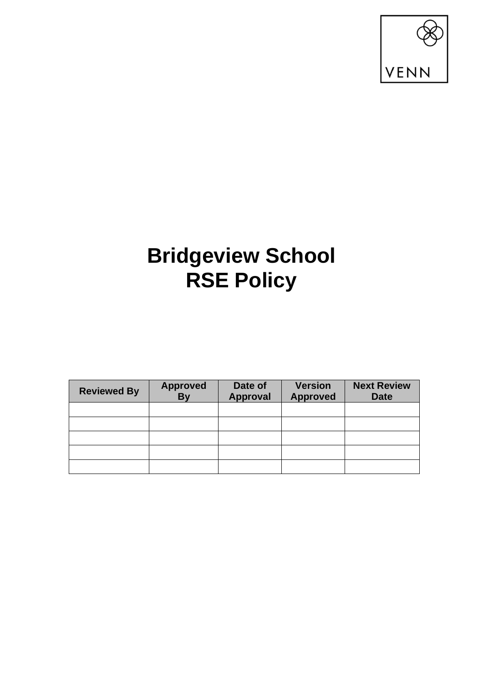

# **Bridgeview School RSE Policy**

| <b>Reviewed By</b> | <b>Approved</b><br><b>By</b> | Date of<br><b>Approval</b> | <b>Version</b><br><b>Approved</b> | <b>Next Review</b><br><b>Date</b> |
|--------------------|------------------------------|----------------------------|-----------------------------------|-----------------------------------|
|                    |                              |                            |                                   |                                   |
|                    |                              |                            |                                   |                                   |
|                    |                              |                            |                                   |                                   |
|                    |                              |                            |                                   |                                   |
|                    |                              |                            |                                   |                                   |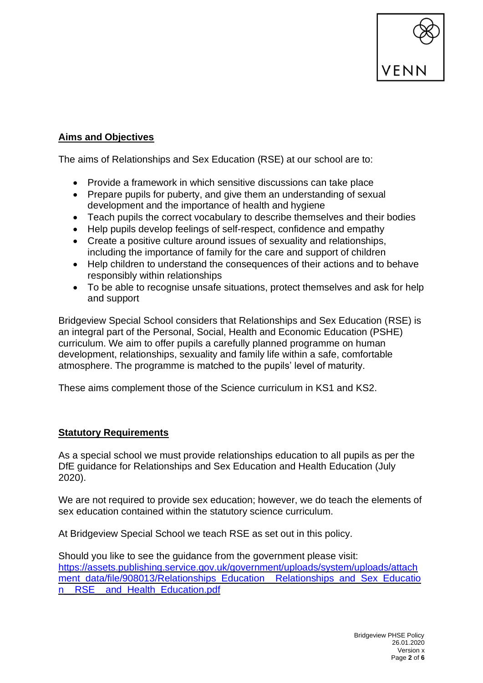

## **Aims and Objectives**

The aims of Relationships and Sex Education (RSE) at our school are to:

- Provide a framework in which sensitive discussions can take place
- Prepare pupils for puberty, and give them an understanding of sexual development and the importance of health and hygiene
- Teach pupils the correct vocabulary to describe themselves and their bodies
- Help pupils develop feelings of self-respect, confidence and empathy
- Create a positive culture around issues of sexuality and relationships, including the importance of family for the care and support of children
- Help children to understand the consequences of their actions and to behave responsibly within relationships
- To be able to recognise unsafe situations, protect themselves and ask for help and support

Bridgeview Special School considers that Relationships and Sex Education (RSE) is an integral part of the Personal, Social, Health and Economic Education (PSHE) curriculum. We aim to offer pupils a carefully planned programme on human development, relationships, sexuality and family life within a safe, comfortable atmosphere. The programme is matched to the pupils' level of maturity.

These aims complement those of the Science curriculum in KS1 and KS2.

## **Statutory Requirements**

As a special school we must provide relationships education to all pupils as per the DfE guidance for Relationships and Sex Education and Health Education (July 2020).

We are not required to provide sex education; however, we do teach the elements of sex education contained within the statutory science curriculum.

At Bridgeview Special School we teach RSE as set out in this policy.

Should you like to see the guidance from the government please visit: [https://assets.publishing.service.gov.uk/government/uploads/system/uploads/attach](https://assets.publishing.service.gov.uk/government/uploads/system/uploads/attachment_data/file/908013/Relationships_Education__Relationships_and_Sex_Education__RSE__and_Health_Education.pdf) ment data/file/908013/Relationships Education Relationships and Sex Educatio n RSE and Health Education.pdf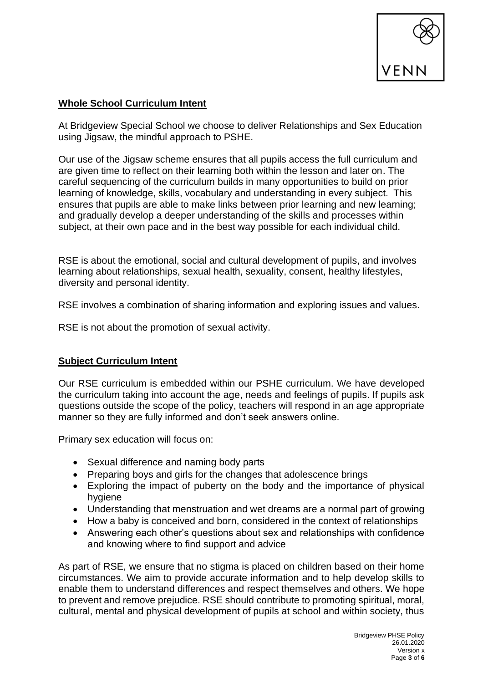

#### **Whole School Curriculum Intent**

At Bridgeview Special School we choose to deliver Relationships and Sex Education using Jigsaw, the mindful approach to PSHE.

Our use of the Jigsaw scheme ensures that all pupils access the full curriculum and are given time to reflect on their learning both within the lesson and later on. The careful sequencing of the curriculum builds in many opportunities to build on prior learning of knowledge, skills, vocabulary and understanding in every subject. This ensures that pupils are able to make links between prior learning and new learning; and gradually develop a deeper understanding of the skills and processes within subject, at their own pace and in the best way possible for each individual child.

RSE is about the emotional, social and cultural development of pupils, and involves learning about relationships, sexual health, sexuality, consent, healthy lifestyles, diversity and personal identity.

RSE involves a combination of sharing information and exploring issues and values.

RSE is not about the promotion of sexual activity.

## **Subject Curriculum Intent**

Our RSE curriculum is embedded within our PSHE curriculum. We have developed the curriculum taking into account the age, needs and feelings of pupils. If pupils ask questions outside the scope of the policy, teachers will respond in an age appropriate manner so they are fully informed and don't seek answers online.

Primary sex education will focus on:

- Sexual difference and naming body parts
- Preparing boys and girls for the changes that adolescence brings
- Exploring the impact of puberty on the body and the importance of physical hygiene
- Understanding that menstruation and wet dreams are a normal part of growing
- How a baby is conceived and born, considered in the context of relationships
- Answering each other's questions about sex and relationships with confidence and knowing where to find support and advice

As part of RSE, we ensure that no stigma is placed on children based on their home circumstances. We aim to provide accurate information and to help develop skills to enable them to understand differences and respect themselves and others. We hope to prevent and remove prejudice. RSE should contribute to promoting spiritual, moral, cultural, mental and physical development of pupils at school and within society, thus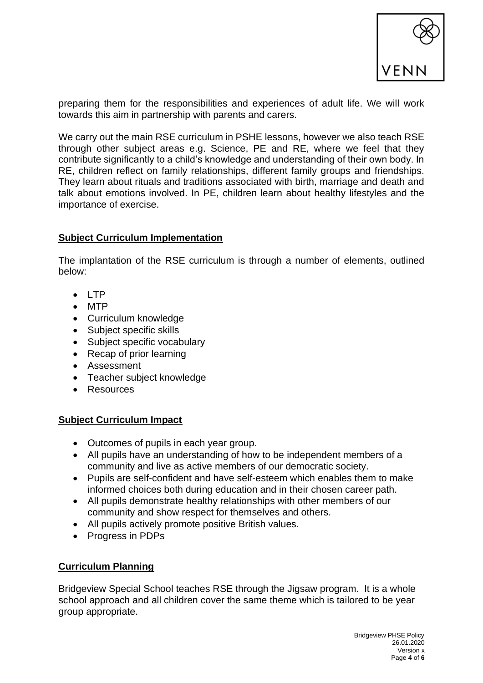

preparing them for the responsibilities and experiences of adult life. We will work towards this aim in partnership with parents and carers.

We carry out the main RSE curriculum in PSHE lessons, however we also teach RSE through other subject areas e.g. Science, PE and RE, where we feel that they contribute significantly to a child's knowledge and understanding of their own body. In RE, children reflect on family relationships, different family groups and friendships. They learn about rituals and traditions associated with birth, marriage and death and talk about emotions involved. In PE, children learn about healthy lifestyles and the importance of exercise.

#### **Subject Curriculum Implementation**

The implantation of the RSE curriculum is through a number of elements, outlined below:

- $\bullet$   $\Box$ P
- MTP
- Curriculum knowledge
- Subject specific skills
- Subject specific vocabulary
- Recap of prior learning
- Assessment
- Teacher subject knowledge
- Resources

## **Subject Curriculum Impact**

- Outcomes of pupils in each year group.
- All pupils have an understanding of how to be independent members of a community and live as active members of our democratic society.
- Pupils are self-confident and have self-esteem which enables them to make informed choices both during education and in their chosen career path.
- All pupils demonstrate healthy relationships with other members of our community and show respect for themselves and others.
- All pupils actively promote positive British values.
- Progress in PDPs

## **Curriculum Planning**

Bridgeview Special School teaches RSE through the Jigsaw program. It is a whole school approach and all children cover the same theme which is tailored to be year group appropriate.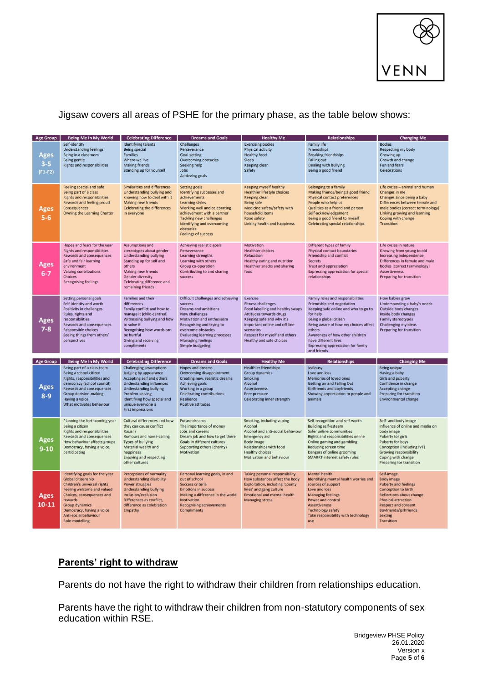

# Jigsaw covers all areas of PSHE for the primary phase, as the table below shows:

| <b>Age Group</b>             | Being Me In My World                                                                                                                                                                                                                                                     | <b>Celebrating Difference</b>                                                                                                                                                                                                                         | <b>Dreams and Goals</b>                                                                                                                                                                                                                                                              | <b>Healthy Me</b>                                                                                                                                                                                                                                   | Relationships                                                                                                                                                                                                                                                                                                          | <b>Changing Me</b>                                                                                                                                                                                                                                    |
|------------------------------|--------------------------------------------------------------------------------------------------------------------------------------------------------------------------------------------------------------------------------------------------------------------------|-------------------------------------------------------------------------------------------------------------------------------------------------------------------------------------------------------------------------------------------------------|--------------------------------------------------------------------------------------------------------------------------------------------------------------------------------------------------------------------------------------------------------------------------------------|-----------------------------------------------------------------------------------------------------------------------------------------------------------------------------------------------------------------------------------------------------|------------------------------------------------------------------------------------------------------------------------------------------------------------------------------------------------------------------------------------------------------------------------------------------------------------------------|-------------------------------------------------------------------------------------------------------------------------------------------------------------------------------------------------------------------------------------------------------|
| Ages<br>$3 - 5$<br>$(F1-F2)$ | Self-identity<br><b>Understanding feelings</b><br>Being in a classroom<br>Being gentle<br><b>Rights and responsibilities</b>                                                                                                                                             | <b>Identifying talents</b><br><b>Being special</b><br><b>Families</b><br>Where we live<br><b>Making friends</b><br>Standing up for yourself                                                                                                           | <b>Challenges</b><br>Perseverance<br>Goal-setting<br><b>Overcoming obstacles</b><br>Seeking help<br>Jobs<br><b>Achieving goals</b>                                                                                                                                                   | <b>Exercising bodies</b><br><b>Physical activity</b><br><b>Healthy food</b><br>Sleep<br>Keeping clean<br>Safety                                                                                                                                     | <b>Family life</b><br><b>Friendships</b><br><b>Breaking friendships</b><br><b>Falling out</b><br>Dealing with bullying<br>Being a good friend                                                                                                                                                                          | <b>Bodies</b><br>Respecting my body<br>Growing up<br>Growth and change<br>Fun and fears<br>Celebrations                                                                                                                                               |
| Ages<br>$5 - 6$              | Feeling special and safe<br>Being part of a class<br><b>Rights and responsibilities</b><br><b>Rewards and feeling proud</b><br><b>Consequences</b><br><b>Owning the Learning Charter</b>                                                                                 | Similarities and differences<br><b>Understanding bullying and</b><br>knowing how to deal with it<br><b>Making new friends</b><br><b>Celebrating the differences</b><br>in everyone                                                                    | <b>Setting goals</b><br>Identifying successes and<br>achievements<br><b>Learning styles</b><br>Working well and celebrating<br>achievement with a partner<br><b>Tackling new challenges</b><br><b>Identifying and overcoming</b><br>obstacles<br><b>Feelings of success</b>          | Keeping myself healthy<br><b>Healthier lifestyle choices</b><br>Keeping clean<br>Being safe<br>Medicine safety/safety with<br>household items<br>Road safety<br>Linking health and happiness                                                        | Belonging to a family<br>Making friends/being a good friend<br><b>Physical contact preferences</b><br>People who help us<br>Qualities as a friend and person<br>Self-acknowledgement<br>Being a good friend to myself<br><b>Celebrating special relationships</b>                                                      | Life cycles - animal and human<br>Changes in me<br>Changes since being a baby<br>Differences between female and<br>male bodies (correct terminology)<br>Linking growing and learning<br>Coping with change<br><b>Transition</b>                       |
| Ages<br>$6 - 7$              | Hopes and fears for the year<br><b>Rights and responsibilities</b><br>Rewards and consequences<br>Safe and fair learning<br>environment<br>Valuing contributions<br><b>Choices</b><br><b>Recognising feelings</b>                                                        | Assumptions and<br>stereotypes about gender<br><b>Understanding bullying</b><br>Standing up for self and<br>others<br>Making new friends<br><b>Gender diversity</b><br>Celebrating difference and<br>remaining friends                                | Achieving realistic goals<br>Perseverance<br>Learning strengths<br>Learning with others<br>Group co-operation<br>Contributing to and sharing<br>success                                                                                                                              | Motivation<br><b>Healthier choices</b><br>Relaxation<br>Healthy eating and nutrition<br><b>Healthier snacks and sharing</b><br>food                                                                                                                 | Different types of family<br>Physical contact boundaries<br>Friendship and conflict<br><b>Secrets</b><br><b>Trust and appreciation</b><br><b>Expressing appreciation for special</b><br>relationships                                                                                                                  | Life cycles in nature<br>Growing from young to old<br>Increasing independence<br>Differences in female and male<br>bodies (correct terminology)<br><b>Assertiveness</b><br>Preparing for transition                                                   |
| Ages<br>$7 - 8$              | Setting personal goals<br>Self-identity and worth<br>Positivity in challenges<br>Rules, rights and<br>responsibilities<br><b>Rewards and consequences</b><br><b>Responsible choices</b><br>Seeing things from others'<br>perspectives                                    | <b>Families and their</b><br>differences<br>Family conflict and how to<br>manage it (child-centred)<br>Witnessing bullying and how<br>to solve it<br>Recognising how words can<br>be hurtful<br><b>Giving and receiving</b><br>compliments            | Difficult challenges and achieving<br><b>SUCCess</b><br>Dreams and ambitions<br><b>New challenges</b><br>Motivation and enthusiasm<br>Recognising and trying to<br>overcome obstacles<br><b>Evaluating learning processes</b><br><b>Managing feelings</b><br><b>Simple budgeting</b> | Exercise<br><b>Fitness challenges</b><br>Food labelling and healthy swaps<br>Attitudes towards drugs<br>Keeping safe and why it's<br>important online and off line<br>scenarios<br>Respect for myself and others<br><b>Healthy and safe choices</b> | Family roles and responsibilities<br>Friendship and negotiation<br>Keeping safe online and who to go to<br>for help<br>Being a global citizen<br>Being aware of how my choices affect<br>others<br>Awareness of how other children<br>have different lives<br><b>Expressing appreciation for family</b><br>and friends | How babies grow<br>Understanding a baby's needs<br>Outside body changes<br>Inside body changes<br><b>Family stereotypes</b><br>Challenging my ideas<br><b>Preparing for transition</b>                                                                |
| <b>Age Group</b>             | Being Me In My World                                                                                                                                                                                                                                                     | <b>Celebrating Difference</b>                                                                                                                                                                                                                         | <b>Dreams and Goals</b>                                                                                                                                                                                                                                                              | <b>Healthy Me</b>                                                                                                                                                                                                                                   | <b>Relationships</b>                                                                                                                                                                                                                                                                                                   | <b>Changing Me</b>                                                                                                                                                                                                                                    |
| Ages<br>$8 - 9$              | Being part of a class team<br>Being a school citizen<br>Rights, responsibilities and<br>democracy (school council)<br><b>Rewards and consequences</b><br><b>Group decision-making</b><br>Having a voice<br>What motivates behaviour                                      | Challenging assumptions<br>Judging by appearance<br>Accepting self and others<br><b>Understanding influences</b><br><b>Understanding bullying</b><br>Problem-solving<br>Identifying how special and<br>unique everyone is<br><b>First impressions</b> | Hopes and dreams<br>Overcoming disappointment<br>Creating new, realistic dreams<br><b>Achieving goals</b><br>Working in a group<br><b>Celebrating contributions</b><br><b>Resilience</b><br><b>Positive attitudes</b>                                                                | <b>Healthier friendships</b><br>Group dynamics<br>Smoking<br>Alcohol<br><b>Assertiveness</b><br>Peer pressure<br><b>Celebrating inner strength</b>                                                                                                  | Jealousy<br>Love and loss<br>Memories of loved ones<br>Getting on and Falling Out<br>Girlfriends and boyfriends<br>Showing appreciation to people and<br>animals                                                                                                                                                       | <b>Being unique</b><br>Having a baby<br>Girls and puberty<br>Confidence in change<br><b>Accepting change</b><br>Preparing for transition<br><b>Environmental change</b>                                                                               |
| Ages<br>$9 - 10$             | Planning the forthcoming year<br>Being a citizen<br><b>Rights and responsibilities</b><br><b>Rewards and consequences</b><br>How behaviour affects groups<br>Democracy, having a voice,<br>participating                                                                 | Cultural differences and how<br>they can cause conflict<br>Racism<br><b>Rumours and name-calling</b><br><b>Types of bullying</b><br>Material wealth and<br>happiness<br>Enjoying and respecting<br>other cultures                                     | <b>Future dreams</b><br>The importance of money<br>Jobs and careers<br>Dream job and how to get there<br><b>Goals in different cultures</b><br>Supporting others (charity)<br>Motivation                                                                                             | Smoking, including vaping<br>Alcohol<br>Alcohol and anti-social behaviour<br><b>Emergency aid</b><br><b>Body image</b><br>Relationships with food<br><b>Healthy choices</b><br>Motivation and behaviour                                             | Self-recognition and self-worth<br><b>Building self-esteem</b><br>Safer online communities<br><b>Rights and responsibilities online</b><br>Online gaming and gambling<br>Reducing screen time<br>Dangers of online grooming<br><b>SMARRT internet safety rules</b>                                                     | Self- and body image<br>Influence of online and media on<br>body image<br>Puberty for girls<br>Puberty for boys<br><b>Conception (including IVF)</b><br><b>Growing responsibility</b><br>Coping with change<br>Preparing for transition               |
| <b>Ages</b><br>$10 - 11$     | Identifying goals for the year<br><b>Global citizenship</b><br>Children's universal rights<br>Feeling welcome and valued<br>Choices, consequences and<br>rewards<br><b>Group dynamics</b><br>Democracy, having a voice<br>Anti-social behaviour<br><b>Role-modelling</b> | <b>Perceptions of normality</b><br><b>Understanding disability</b><br><b>Power struggles</b><br><b>Understanding bullying</b><br>Inclusion/exclusion<br>Differences as conflict,<br>difference as celebration<br>Empathy                              | Personal learning goals, in and<br>out of school<br><b>Success criteria</b><br><b>Emotions in success</b><br>Making a difference in the world<br>Motivation<br><b>Recognising achievements</b><br><b>Compliments</b>                                                                 | <b>Taking personal responsibility</b><br>How substances affect the body<br><b>Exploitation, including 'county</b><br>lines' and gang culture<br><b>Emotional and mental health</b><br><b>Managing stress</b>                                        | <b>Mental health</b><br>Identifying mental health worries and<br>sources of support<br>Love and loss<br><b>Managing feelings</b><br>Power and control<br><b>Assertiveness</b><br><b>Technology safety</b><br>Take responsibility with technology<br>use                                                                | Self-image<br><b>Body image</b><br><b>Puberty and feelings</b><br>Conception to birth<br><b>Reflections about change</b><br><b>Physical attraction</b><br><b>Respect and consent</b><br>Boyfriends/girlfriends<br><b>Sexting</b><br><b>Transition</b> |

## **Parents' right to withdraw**

Parents do not have the right to withdraw their children from relationships education.

Parents have the right to withdraw their children from non-statutory components of sex education within RSE.